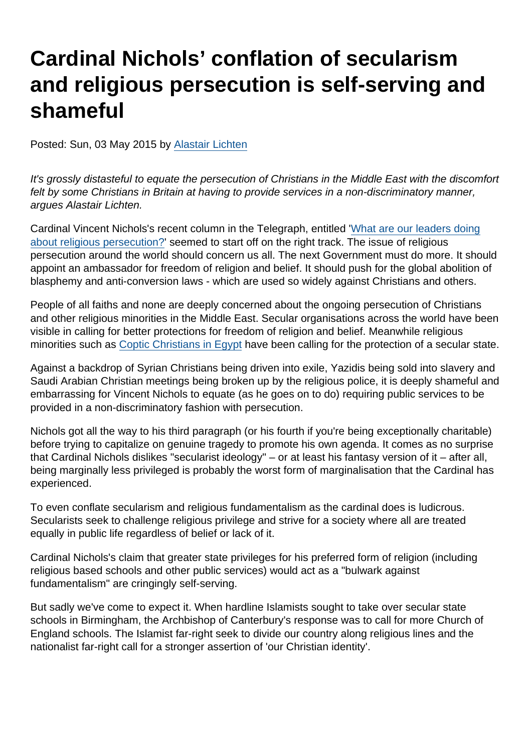## Cardinal Nichols' conflation of secularism and religious persecution is self-serving and shameful

Posted: Sun, 03 May 2015 by [Alastair Lichten](https://www.secularism.org.uk/opinion/authors/847)

It's grossly distasteful to equate the persecution of Christians in the Middle East with the discomfort felt by some Christians in Britain at having to provide services in a non-discriminatory manner, argues Alastair Lichten.

Cardinal Vincent Nichols's recent column in the Telegraph, entitled '[What are our leaders doing](http://www.telegraph.co.uk/news/general-election-2015/11561820/What-are-our-leaders-doing-about-religious-persecution.html) [about religious persecution?](http://www.telegraph.co.uk/news/general-election-2015/11561820/What-are-our-leaders-doing-about-religious-persecution.html)' seemed to start off on the right track. The issue of religious persecution around the world should concern us all. The next Government must do more. It should appoint an ambassador for freedom of religion and belief. It should push for the global abolition of blasphemy and anti-conversion laws - which are used so widely against Christians and others.

People of all faiths and none are deeply concerned about the ongoing persecution of Christians and other religious minorities in the Middle East. Secular organisations across the world have been visible in calling for better protections for freedom of religion and belief. Meanwhile religious minorities such as [Coptic Christians in Egypt](http://therevealer.org/archives/19090) have been calling for the protection of a secular state.

Against a backdrop of Syrian Christians being driven into exile, Yazidis being sold into slavery and Saudi Arabian Christian meetings being broken up by the religious police, it is deeply shameful and embarrassing for Vincent Nichols to equate (as he goes on to do) requiring public services to be provided in a non-discriminatory fashion with persecution.

Nichols got all the way to his third paragraph (or his fourth if you're being exceptionally charitable) before trying to capitalize on genuine tragedy to promote his own agenda. It comes as no surprise that Cardinal Nichols dislikes "secularist ideology" – or at least his fantasy version of it – after all, being marginally less privileged is probably the worst form of marginalisation that the Cardinal has experienced.

To even conflate secularism and religious fundamentalism as the cardinal does is ludicrous. Secularists seek to challenge religious privilege and strive for a society where all are treated equally in public life regardless of belief or lack of it.

Cardinal Nichols's claim that greater state privileges for his preferred form of religion (including religious based schools and other public services) would act as a "bulwark against fundamentalism" are cringingly self-serving.

But sadly we've come to expect it. When hardline Islamists sought to take over secular state schools in Birmingham, the Archbishop of Canterbury's response was to call for more Church of England schools. The Islamist far-right seek to divide our country along religious lines and the nationalist far-right call for a stronger assertion of 'our Christian identity'.